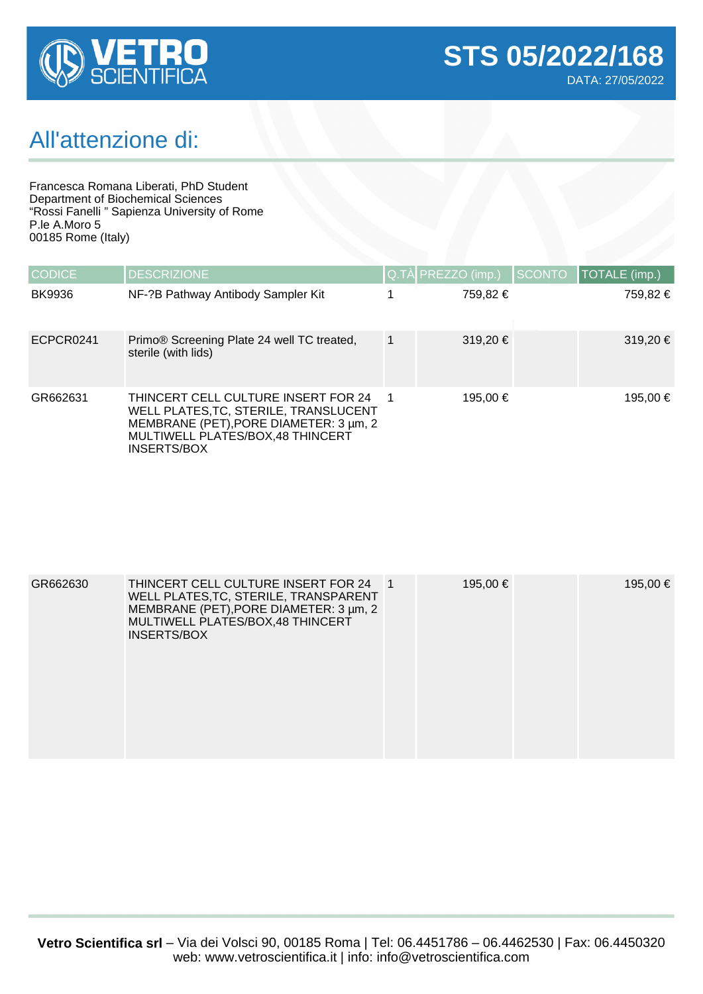

## All'attenzione di:

Francesca Romana Liberati, PhD Student Department of Biochemical Sciences "Rossi Fanelli " Sapienza University of Rome P.le A.Moro 5 00185 Rome (Italy)

| <b>CODICE</b> | <b>DESCRIZIONE</b>                                                                                                                                                               |   | Q.TÀ PREZZO (imp.) | <b>SCONTO</b> | TOTALE (imp.) |
|---------------|----------------------------------------------------------------------------------------------------------------------------------------------------------------------------------|---|--------------------|---------------|---------------|
| <b>BK9936</b> | NF-?B Pathway Antibody Sampler Kit                                                                                                                                               |   | 759.82 €           |               | 759,82 €      |
| ECPCR0241     | Primo® Screening Plate 24 well TC treated,<br>sterile (with lids)                                                                                                                | 1 | 319,20 €           |               | 319,20 €      |
| GR662631      | THINCERT CELL CULTURE INSERT FOR 24<br>WELL PLATES, TC, STERILE, TRANSLUCENT<br>MEMBRANE (PET), PORE DIAMETER: 3 µm, 2<br>MULTIWELL PLATES/BOX,48 THINCERT<br><b>INSERTS/BOX</b> |   | 195.00 €           |               | 195,00 €      |

| GR662630 | THINCERT CELL CULTURE INSERT FOR 24   1<br>WELL PLATES, TC, STERILE, TRANSPARENT<br>MEMBRANE (PET), PORE DIAMETER: 3 µm, 2<br>MULTIWELL PLATES/BOX, 48 THINCERT<br>INSERTS/BOX | 195,00 € | 195,00 € |
|----------|--------------------------------------------------------------------------------------------------------------------------------------------------------------------------------|----------|----------|
|          |                                                                                                                                                                                |          |          |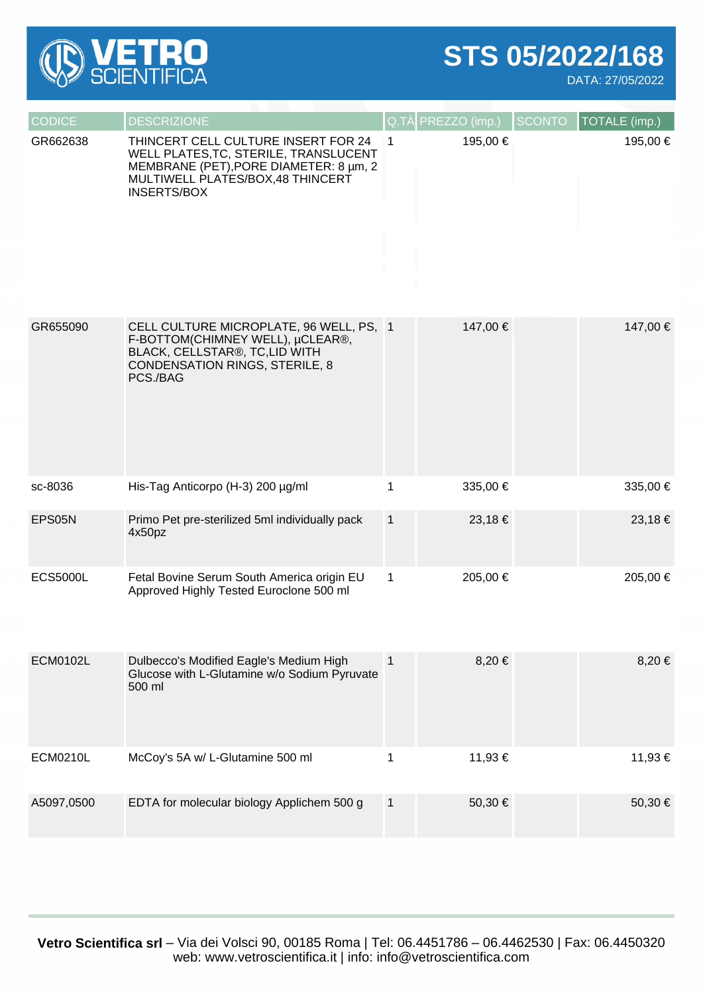

## **STS 05/2022/168**

DATA: 27/05/2022

| <b>CODICE</b>   | <b>DESCRIZIONE</b>                                                                                                                                                               |              | Q.TÀ PREZZO (imp.) | <b>SCONTO</b> | TOTALE (imp.) |
|-----------------|----------------------------------------------------------------------------------------------------------------------------------------------------------------------------------|--------------|--------------------|---------------|---------------|
| GR662638        | THINCERT CELL CULTURE INSERT FOR 24<br>WELL PLATES, TC, STERILE, TRANSLUCENT<br>MEMBRANE (PET), PORE DIAMETER: 8 µm, 2<br>MULTIWELL PLATES/BOX,48 THINCERT<br><b>INSERTS/BOX</b> | 1            | 195,00 €           |               | 195,00 €      |
| GR655090        | CELL CULTURE MICROPLATE, 96 WELL, PS, 1<br>F-BOTTOM(CHIMNEY WELL), µCLEAR®,<br>BLACK, CELLSTAR®, TC,LID WITH<br><b>CONDENSATION RINGS, STERILE, 8</b><br>PCS./BAG                |              | 147,00 €           |               | 147,00 €      |
| sc-8036         | His-Tag Anticorpo (H-3) 200 µg/ml                                                                                                                                                | 1            | 335,00 €           |               | 335,00 €      |
| EPS05N          | Primo Pet pre-sterilized 5ml individually pack<br>4x50pz                                                                                                                         | $\mathbf{1}$ | 23,18€             |               | 23,18 €       |
| <b>ECS5000L</b> | Fetal Bovine Serum South America origin EU<br>Approved Highly Tested Euroclone 500 ml                                                                                            | 1            | 205,00 €           |               | 205,00 €      |
| <b>ECM0102L</b> | Dulbecco's Modified Eagle's Medium High<br>Glucose with L-Glutamine w/o Sodium Pyruvate<br>500 ml                                                                                | $\mathbf{1}$ | 8,20€              |               | $8,20 \in$    |
| <b>ECM0210L</b> | McCoy's 5A w/ L-Glutamine 500 ml                                                                                                                                                 | 1            | 11,93 €            |               | 11,93 €       |
| A5097,0500      | EDTA for molecular biology Applichem 500 g                                                                                                                                       | $\mathbf{1}$ | 50,30 €            |               | 50,30 €       |